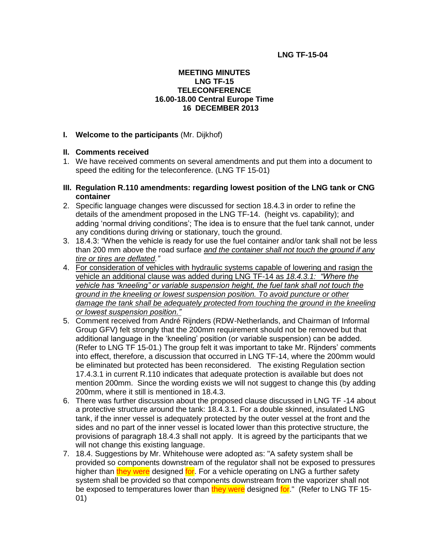### **LNG TF-15-04**

### **MEETING MINUTES LNG TF-15 TELECONFERENCE 16.00-18.00 Central Europe Time 16 DECEMBER 2013**

### **I. Welcome to the participants** (Mr. Dijkhof)

### **II. Comments received**

- 1. We have received comments on several amendments and put them into a document to speed the editing for the teleconference. (LNG TF 15-01)
- **III. Regulation R.110 amendments: regarding lowest position of the LNG tank or CNG container**
- 2. Specific language changes were discussed for section 18.4.3 in order to refine the details of the amendment proposed in the LNG TF-14. (height vs. capability); and adding 'normal driving conditions'; The idea is to ensure that the fuel tank cannot, under any conditions during driving or stationary, touch the ground.
- 3. 18.4.3: "When the vehicle is ready for use the fuel container and/or tank shall not be less than 200 mm above the road surface *and the container shall not touch the ground if any tire or tires are deflated."*
- 4. For consideration of vehicles with hydraulic systems capable of lowering and rasign the vehicle an additional clause was added during LNG TF-14 as *18.4.3.1: "Where the vehicle has "kneeling" or variable suspension height, the fuel tank shall not touch the ground in the kneeling or lowest suspension position. To avoid puncture or other damage the tank shall be adequately protected from touching the ground in the kneeling or lowest suspension position."*
- 5. Comment received from André Rijnders (RDW-Netherlands, and Chairman of Informal Group GFV) felt strongly that the 200mm requirement should not be removed but that additional language in the 'kneeling' position (or variable suspension) can be added. (Refer to LNG TF 15-01.) The group felt it was important to take Mr. Rijnders' comments into effect, therefore, a discussion that occurred in LNG TF-14, where the 200mm would be eliminated but protected has been reconsidered. The existing Regulation section 17.4.3.1 in current R.110 indicates that adequate protection is available but does not mention 200mm. Since the wording exists we will not suggest to change this (by adding 200mm, where it still is mentioned in 18.4.3.
- 6. There was further discussion about the proposed clause discussed in LNG TF -14 about a protective structure around the tank: 18.4.3.1. For a double skinned, insulated LNG tank, if the inner vessel is adequately protected by the outer vessel at the front and the sides and no part of the inner vessel is located lower than this protective structure, the provisions of paragraph 18.4.3 shall not apply. It is agreed by the participants that we will not change this existing language.
- 7. 18.4. Suggestions by Mr. Whitehouse were adopted as: "A safety system shall be provided so components downstream of the regulator shall not be exposed to pressures higher than they were designed for. For a vehicle operating on LNG a further safety system shall be provided so that components downstream from the vaporizer shall not be exposed to temperatures lower than they were designed for." (Refer to LNG TF 15-01)